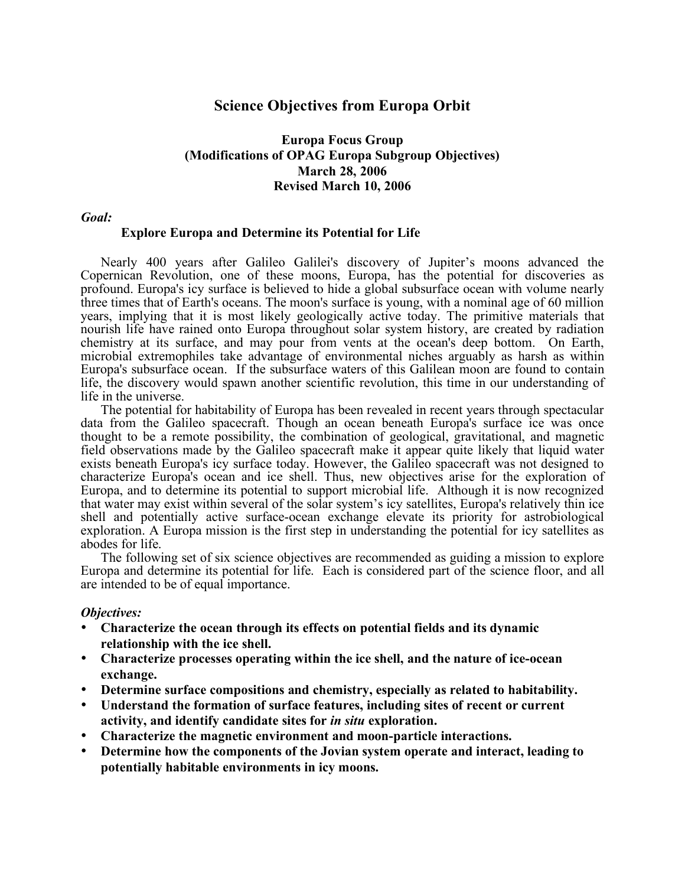# **Science Objectives from Europa Orbit**

### **Europa Focus Group (Modifications of OPAG Europa Subgroup Objectives) March 28, 2006 Revised March 10, 2006**

### *Goal:*

### **Explore Europa and Determine its Potential for Life**

Nearly 400 years after Galileo Galilei's discovery of Jupiter's moons advanced the Copernican Revolution, one of these moons, Europa, has the potential for discoveries as profound. Europa's icy surface is believed to hide a global subsurface ocean with volume nearly three times that of Earth's oceans. The moon's surface is young, with a nominal age of 60 million years, implying that it is most likely geologically active today. The primitive materials that nourish life have rained onto Europa throughout solar system history, are created by radiation chemistry at its surface, and may pour from vents at the ocean's deep bottom. On Earth, microbial extremophiles take advantage of environmental niches arguably as harsh as within Europa's subsurface ocean. If the subsurface waters of this Galilean moon are found to contain life, the discovery would spawn another scientific revolution, this time in our understanding of life in the universe. The potential for habitability of Europa has been revealed in recent years through spectacular

data from the Galileo spacecraft. Though an ocean beneath Europa's surface ice was once thought to be a remote possibility, the combination of geological, gravitational, and magnetic field observations made by the Galileo spacecraft make it appear quite likely that liquid water exists beneath Europa's icy surface today. However, the Galileo spacecraft was not designed to characterize Europa's ocean and ice shell. Thus, new objectives arise for the exploration of Europa, and to determine its potential to support microbial life. Although it is now recognized that water may exist within several of the solar system's icy satellites, Europa's relatively thin ice shell and potentially active surface-ocean exchange elevate its priority for astrobiological exploration. A Europa mission is the first step in understanding the potential for icy satellites as abodes for life. The following set of six science objectives are recommended as guiding a mission to explore

Europa and determine its potential for life. Each is considered part of the science floor, and all are intended to be of equal importance.

#### *Objectives:*

- **Characterize the ocean through its effects on potential fields and its dynamic relationship with the ice shell.**
- **Characterize processes operating within the ice shell, and the nature of ice-ocean exchange.**
- **Determine surface compositions and chemistry, especially as related to habitability.**
- **Understand the formation of surface features, including sites of recent or current activity, and identify candidate sites for** *in situ* **exploration.**
- **Characterize the magnetic environment and moon-particle interactions.**
- **Determine how the components of the Jovian system operate and interact, leading to potentially habitable environments in icy moons.**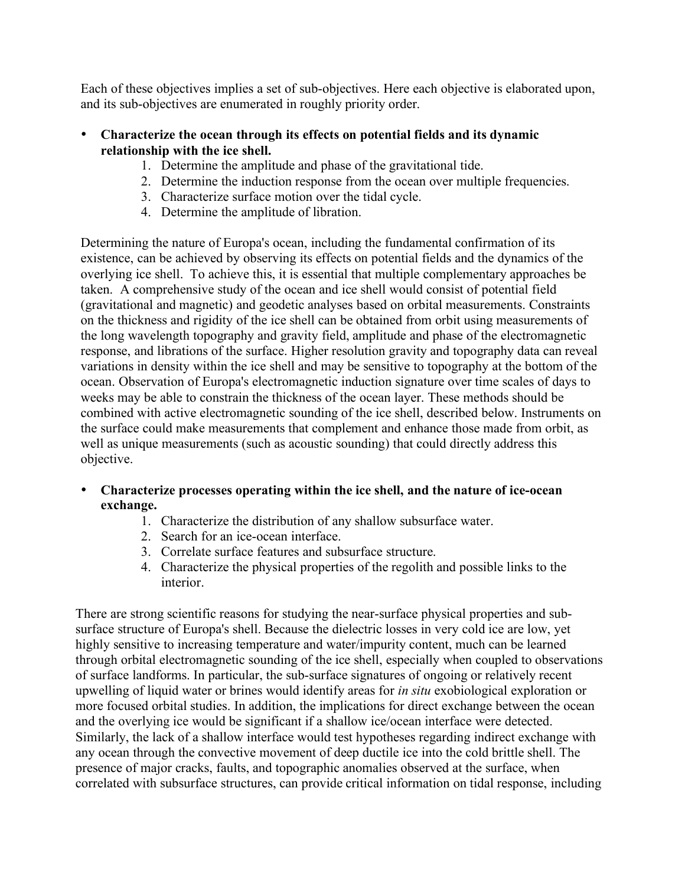Each of these objectives implies a set of sub-objectives. Here each objective is elaborated upon, and its sub-objectives are enumerated in roughly priority order.

## • **Characterize the ocean through its effects on potential fields and its dynamic relationship with the ice shell.**

- 1. Determine the amplitude and phase of the gravitational tide.
- 2. Determine the induction response from the ocean over multiple frequencies.
- 3. Characterize surface motion over the tidal cycle.
- 4. Determine the amplitude of libration.

Determining the nature of Europa's ocean, including the fundamental confirmation of its existence, can be achieved by observing its effects on potential fields and the dynamics of the overlying ice shell. To achieve this, it is essential that multiple complementary approaches be taken. A comprehensive study of the ocean and ice shell would consist of potential field (gravitational and magnetic) and geodetic analyses based on orbital measurements. Constraints on the thickness and rigidity of the ice shell can be obtained from orbit using measurements of the long wavelength topography and gravity field, amplitude and phase of the electromagnetic response, and librations of the surface. Higher resolution gravity and topography data can reveal variations in density within the ice shell and may be sensitive to topography at the bottom of the ocean. Observation of Europa's electromagnetic induction signature over time scales of days to weeks may be able to constrain the thickness of the ocean layer. These methods should be combined with active electromagnetic sounding of the ice shell, described below. Instruments on the surface could make measurements that complement and enhance those made from orbit, as well as unique measurements (such as acoustic sounding) that could directly address this objective.

- **Characterize processes operating within the ice shell, and the nature of ice-ocean exchange.**
	- 1. Characterize the distribution of any shallow subsurface water.
	- 2. Search for an ice-ocean interface.
	- 3. Correlate surface features and subsurface structure.
	- 4. Characterize the physical properties of the regolith and possible links to the interior.

There are strong scientific reasons for studying the near-surface physical properties and subsurface structure of Europa's shell. Because the dielectric losses in very cold ice are low, yet highly sensitive to increasing temperature and water/impurity content, much can be learned through orbital electromagnetic sounding of the ice shell, especially when coupled to observations of surface landforms. In particular, the sub-surface signatures of ongoing or relatively recent upwelling of liquid water or brines would identify areas for *in situ* exobiological exploration or more focused orbital studies. In addition, the implications for direct exchange between the ocean and the overlying ice would be significant if a shallow ice/ocean interface were detected. Similarly, the lack of a shallow interface would test hypotheses regarding indirect exchange with any ocean through the convective movement of deep ductile ice into the cold brittle shell. The presence of major cracks, faults, and topographic anomalies observed at the surface, when correlated with subsurface structures, can provide critical information on tidal response, including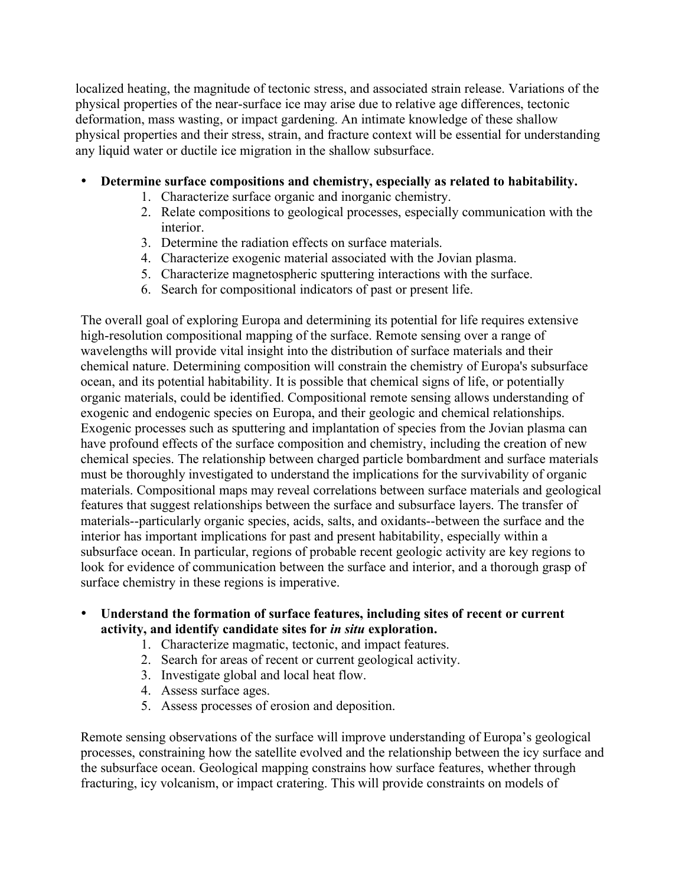localized heating, the magnitude of tectonic stress, and associated strain release. Variations of the physical properties of the near-surface ice may arise due to relative age differences, tectonic deformation, mass wasting, or impact gardening. An intimate knowledge of these shallow physical properties and their stress, strain, and fracture context will be essential for understanding any liquid water or ductile ice migration in the shallow subsurface.

# • **Determine surface compositions and chemistry, especially as related to habitability.**

- 1. Characterize surface organic and inorganic chemistry.
- 2. Relate compositions to geological processes, especially communication with the interior.
- 3. Determine the radiation effects on surface materials.
- 4. Characterize exogenic material associated with the Jovian plasma.
- 5. Characterize magnetospheric sputtering interactions with the surface.
- 6. Search for compositional indicators of past or present life.

The overall goal of exploring Europa and determining its potential for life requires extensive high-resolution compositional mapping of the surface. Remote sensing over a range of wavelengths will provide vital insight into the distribution of surface materials and their chemical nature. Determining composition will constrain the chemistry of Europa's subsurface ocean, and its potential habitability. It is possible that chemical signs of life, or potentially organic materials, could be identified. Compositional remote sensing allows understanding of exogenic and endogenic species on Europa, and their geologic and chemical relationships. Exogenic processes such as sputtering and implantation of species from the Jovian plasma can have profound effects of the surface composition and chemistry, including the creation of new chemical species. The relationship between charged particle bombardment and surface materials must be thoroughly investigated to understand the implications for the survivability of organic materials. Compositional maps may reveal correlations between surface materials and geological features that suggest relationships between the surface and subsurface layers. The transfer of materials--particularly organic species, acids, salts, and oxidants--between the surface and the interior has important implications for past and present habitability, especially within a subsurface ocean. In particular, regions of probable recent geologic activity are key regions to look for evidence of communication between the surface and interior, and a thorough grasp of surface chemistry in these regions is imperative.

- **Understand the formation of surface features, including sites of recent or current activity, and identify candidate sites for** *in situ* **exploration.**
	- 1. Characterize magmatic, tectonic, and impact features.
	- 2. Search for areas of recent or current geological activity.
	- 3. Investigate global and local heat flow.
	- 4. Assess surface ages.
	- 5. Assess processes of erosion and deposition.

Remote sensing observations of the surface will improve understanding of Europa's geological processes, constraining how the satellite evolved and the relationship between the icy surface and the subsurface ocean. Geological mapping constrains how surface features, whether through fracturing, icy volcanism, or impact cratering. This will provide constraints on models of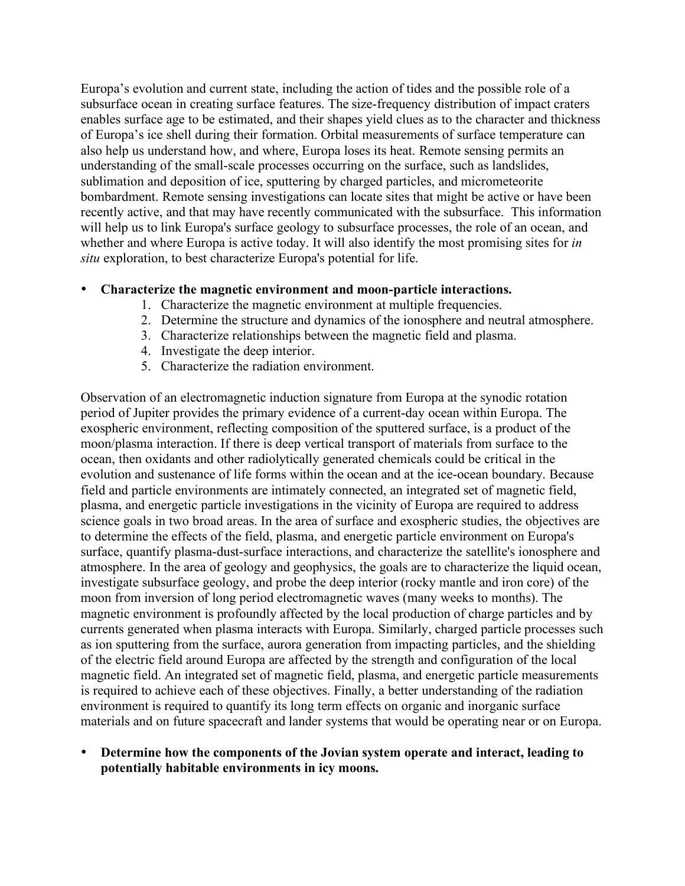Europa's evolution and current state, including the action of tides and the possible role of a subsurface ocean in creating surface features. The size-frequency distribution of impact craters enables surface age to be estimated, and their shapes yield clues as to the character and thickness of Europa's ice shell during their formation. Orbital measurements of surface temperature can also help us understand how, and where, Europa loses its heat. Remote sensing permits an understanding of the small-scale processes occurring on the surface, such as landslides, sublimation and deposition of ice, sputtering by charged particles, and micrometeorite bombardment. Remote sensing investigations can locate sites that might be active or have been recently active, and that may have recently communicated with the subsurface. This information will help us to link Europa's surface geology to subsurface processes, the role of an ocean, and whether and where Europa is active today. It will also identify the most promising sites for *in situ* exploration, to best characterize Europa's potential for life.

## • **Characterize the magnetic environment and moon-particle interactions.**

- 1. Characterize the magnetic environment at multiple frequencies.
- 2. Determine the structure and dynamics of the ionosphere and neutral atmosphere.
- 3. Characterize relationships between the magnetic field and plasma.
- 4. Investigate the deep interior.
- 5. Characterize the radiation environment.

Observation of an electromagnetic induction signature from Europa at the synodic rotation period of Jupiter provides the primary evidence of a current-day ocean within Europa. The exospheric environment, reflecting composition of the sputtered surface, is a product of the moon/plasma interaction. If there is deep vertical transport of materials from surface to the ocean, then oxidants and other radiolytically generated chemicals could be critical in the evolution and sustenance of life forms within the ocean and at the ice-ocean boundary. Because field and particle environments are intimately connected, an integrated set of magnetic field, plasma, and energetic particle investigations in the vicinity of Europa are required to address science goals in two broad areas. In the area of surface and exospheric studies, the objectives are to determine the effects of the field, plasma, and energetic particle environment on Europa's surface, quantify plasma-dust-surface interactions, and characterize the satellite's ionosphere and atmosphere. In the area of geology and geophysics, the goals are to characterize the liquid ocean, investigate subsurface geology, and probe the deep interior (rocky mantle and iron core) of the moon from inversion of long period electromagnetic waves (many weeks to months). The magnetic environment is profoundly affected by the local production of charge particles and by currents generated when plasma interacts with Europa. Similarly, charged particle processes such as ion sputtering from the surface, aurora generation from impacting particles, and the shielding of the electric field around Europa are affected by the strength and configuration of the local magnetic field. An integrated set of magnetic field, plasma, and energetic particle measurements is required to achieve each of these objectives. Finally, a better understanding of the radiation environment is required to quantify its long term effects on organic and inorganic surface materials and on future spacecraft and lander systems that would be operating near or on Europa.

• **Determine how the components of the Jovian system operate and interact, leading to potentially habitable environments in icy moons.**